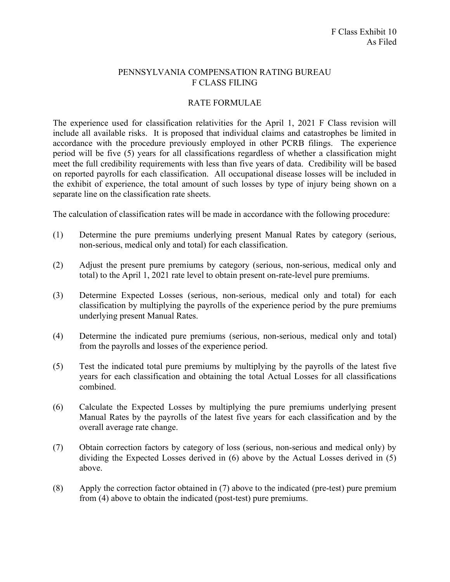## PENNSYLVANIA COMPENSATION RATING BUREAU F CLASS FILING

## RATE FORMULAE

The experience used for classification relativities for the April 1, 2021 F Class revision will include all available risks. It is proposed that individual claims and catastrophes be limited in accordance with the procedure previously employed in other PCRB filings. The experience period will be five (5) years for all classifications regardless of whether a classification might meet the full credibility requirements with less than five years of data. Credibility will be based on reported payrolls for each classification. All occupational disease losses will be included in the exhibit of experience, the total amount of such losses by type of injury being shown on a separate line on the classification rate sheets.

The calculation of classification rates will be made in accordance with the following procedure:

- (1) Determine the pure premiums underlying present Manual Rates by category (serious, non-serious, medical only and total) for each classification.
- (2) Adjust the present pure premiums by category (serious, non-serious, medical only and total) to the April 1, 2021 rate level to obtain present on-rate-level pure premiums.
- (3) Determine Expected Losses (serious, non-serious, medical only and total) for each classification by multiplying the payrolls of the experience period by the pure premiums underlying present Manual Rates.
- (4) Determine the indicated pure premiums (serious, non-serious, medical only and total) from the payrolls and losses of the experience period.
- (5) Test the indicated total pure premiums by multiplying by the payrolls of the latest five years for each classification and obtaining the total Actual Losses for all classifications combined.
- (6) Calculate the Expected Losses by multiplying the pure premiums underlying present Manual Rates by the payrolls of the latest five years for each classification and by the overall average rate change.
- (7) Obtain correction factors by category of loss (serious, non-serious and medical only) by dividing the Expected Losses derived in (6) above by the Actual Losses derived in (5) above.
- (8) Apply the correction factor obtained in (7) above to the indicated (pre-test) pure premium from (4) above to obtain the indicated (post-test) pure premiums.